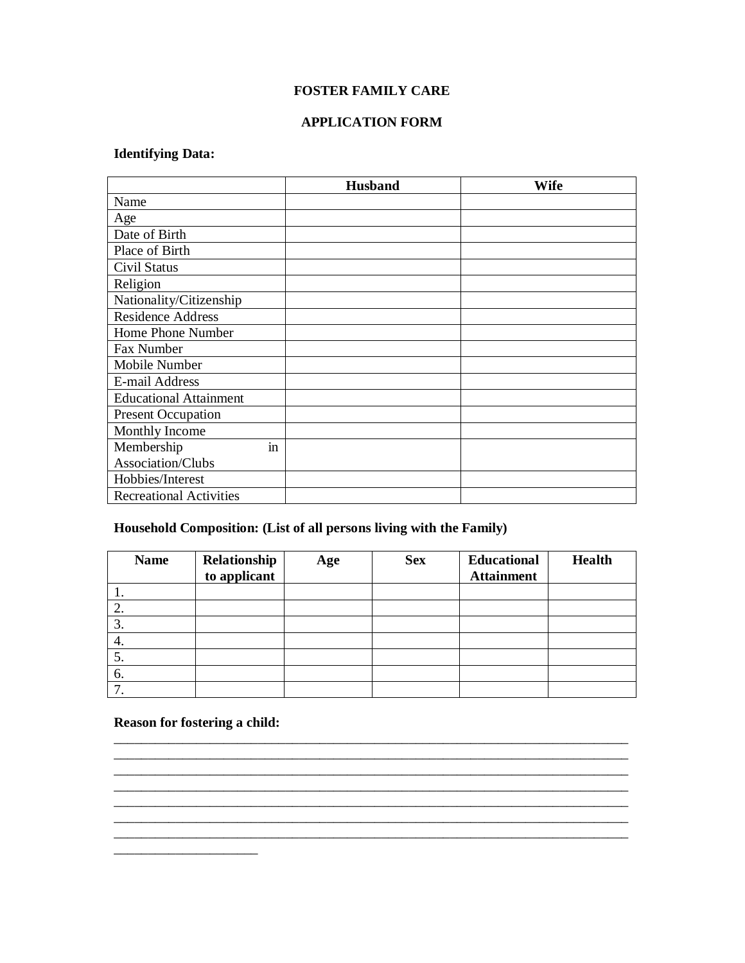#### **FOSTER FAMILY CARE**

#### **APPLICATION FORM**

# **Identifying Data:**

|                                | <b>Husband</b> | Wife |
|--------------------------------|----------------|------|
| Name                           |                |      |
| Age                            |                |      |
| Date of Birth                  |                |      |
| Place of Birth                 |                |      |
| Civil Status                   |                |      |
| Religion                       |                |      |
| Nationality/Citizenship        |                |      |
| <b>Residence Address</b>       |                |      |
| Home Phone Number              |                |      |
| Fax Number                     |                |      |
| Mobile Number                  |                |      |
| E-mail Address                 |                |      |
| <b>Educational Attainment</b>  |                |      |
| <b>Present Occupation</b>      |                |      |
| Monthly Income                 |                |      |
| Membership<br><sub>in</sub>    |                |      |
| Association/Clubs              |                |      |
| Hobbies/Interest               |                |      |
| <b>Recreational Activities</b> |                |      |

## **Household Composition: (List of all persons living with the Family)**

| <b>Name</b> | Relationship<br>to applicant | Age | <b>Sex</b> | <b>Educational</b><br><b>Attainment</b> | <b>Health</b> |
|-------------|------------------------------|-----|------------|-----------------------------------------|---------------|
|             |                              |     |            |                                         |               |
| ، گ         |                              |     |            |                                         |               |
|             |                              |     |            |                                         |               |
| 4.          |                              |     |            |                                         |               |
| 5.          |                              |     |            |                                         |               |
| 6.          |                              |     |            |                                         |               |
| ⇁           |                              |     |            |                                         |               |

\_\_\_\_\_\_\_\_\_\_\_\_\_\_\_\_\_\_\_\_\_\_\_\_\_\_\_\_\_\_\_\_\_\_\_\_\_\_\_\_\_\_\_\_\_\_\_\_\_\_\_\_\_\_\_\_\_\_\_\_\_\_\_\_\_\_\_\_\_\_\_\_\_\_\_

\_\_\_\_\_\_\_\_\_\_\_\_\_\_\_\_\_\_\_\_\_\_\_\_\_\_\_\_\_\_\_\_\_\_\_\_\_\_\_\_\_\_\_\_\_\_\_\_\_\_\_\_\_\_\_\_\_\_\_\_\_\_\_\_\_\_\_\_\_\_\_\_\_\_\_

\_\_\_\_\_\_\_\_\_\_\_\_\_\_\_\_\_\_\_\_\_\_\_\_\_\_\_\_\_\_\_\_\_\_\_\_\_\_\_\_\_\_\_\_\_\_\_\_\_\_\_\_\_\_\_\_\_\_\_\_\_\_\_\_\_\_\_\_\_\_\_\_\_\_\_

### **Reason for fostering a child:**

\_\_\_\_\_\_\_\_\_\_\_\_\_\_\_\_\_\_\_\_\_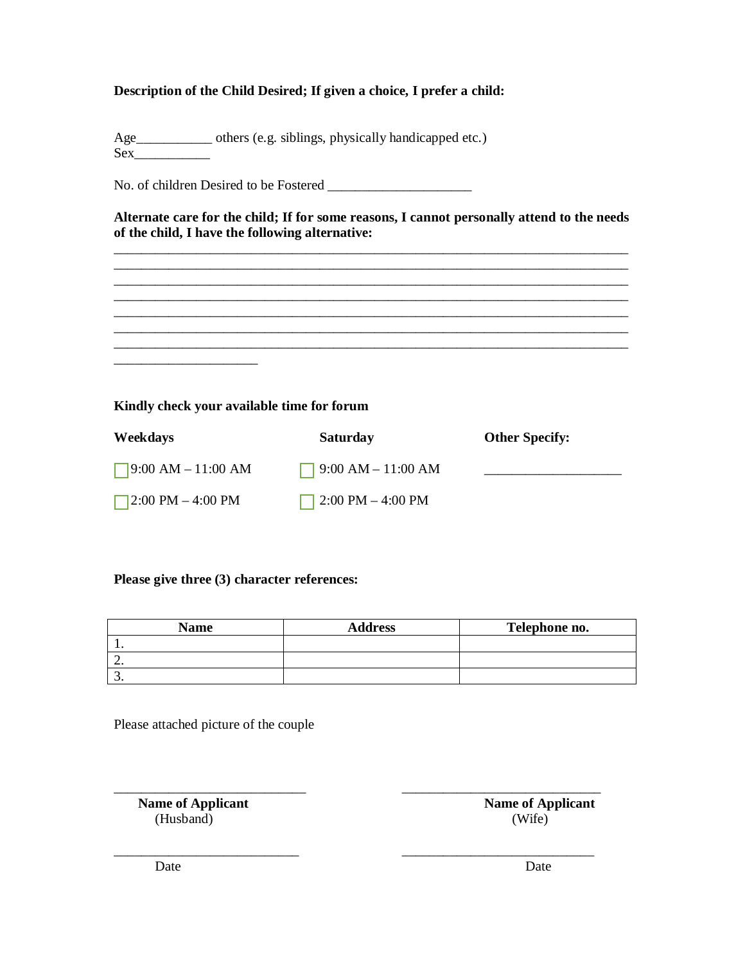## **Description of the Child Desired; If given a choice, I prefer a child:**

Age\_\_\_\_\_\_\_\_\_\_\_ others (e.g. siblings, physically handicapped etc.)  $Sex$ 

No. of children Desired to be Fostered \_\_\_\_\_\_\_\_\_\_\_\_\_\_\_\_\_\_\_\_\_

**Alternate care for the child; If for some reasons, I cannot personally attend to the needs of the child, I have the following alternative:**

\_\_\_\_\_\_\_\_\_\_\_\_\_\_\_\_\_\_\_\_\_\_\_\_\_\_\_\_\_\_\_\_\_\_\_\_\_\_\_\_\_\_\_\_\_\_\_\_\_\_\_\_\_\_\_\_\_\_\_\_\_\_\_\_\_\_\_\_\_\_\_\_\_\_\_ \_\_\_\_\_\_\_\_\_\_\_\_\_\_\_\_\_\_\_\_\_\_\_\_\_\_\_\_\_\_\_\_\_\_\_\_\_\_\_\_\_\_\_\_\_\_\_\_\_\_\_\_\_\_\_\_\_\_\_\_\_\_\_\_\_\_\_\_\_\_\_\_\_\_\_ \_\_\_\_\_\_\_\_\_\_\_\_\_\_\_\_\_\_\_\_\_\_\_\_\_\_\_\_\_\_\_\_\_\_\_\_\_\_\_\_\_\_\_\_\_\_\_\_\_\_\_\_\_\_\_\_\_\_\_\_\_\_\_\_\_\_\_\_\_\_\_\_\_\_\_ \_\_\_\_\_\_\_\_\_\_\_\_\_\_\_\_\_\_\_\_\_\_\_\_\_\_\_\_\_\_\_\_\_\_\_\_\_\_\_\_\_\_\_\_\_\_\_\_\_\_\_\_\_\_\_\_\_\_\_\_\_\_\_\_\_\_\_\_\_\_\_\_\_\_\_

\_\_\_\_\_\_\_\_\_\_\_\_\_\_\_\_\_\_\_\_\_\_\_\_\_\_\_\_\_\_\_\_\_\_\_\_\_\_\_\_\_\_\_\_\_\_\_\_\_\_\_\_\_\_\_\_\_\_\_\_\_\_\_\_\_\_\_\_\_\_\_\_\_\_\_ \_\_\_\_\_\_\_\_\_\_\_\_\_\_\_\_\_\_\_\_\_\_\_\_\_\_\_\_\_\_\_\_\_\_\_\_\_\_\_\_\_\_\_\_\_\_\_\_\_\_\_\_\_\_\_\_\_\_\_\_\_\_\_\_\_\_\_\_\_\_\_\_\_\_\_

## **Kindly check your available time for forum**

\_\_\_\_\_\_\_\_\_\_\_\_\_\_\_\_\_\_\_\_\_

| <b>Weekdays</b>           | <b>Saturday</b>           | <b>Other Specify:</b> |
|---------------------------|---------------------------|-----------------------|
| $\Box$ 9:00 AM – 11:00 AM | $\Box$ 9:00 AM – 11:00 AM |                       |
| 2:00 PM $-$ 4:00 PM       | $\Box$ 2:00 PM – 4:00 PM  |                       |

#### **Please give three (3) character references:**

| <b>Name</b> | <b>Address</b> | Telephone no. |
|-------------|----------------|---------------|
|             |                |               |
| <u>.</u>    |                |               |
|             |                |               |

\_\_\_\_\_\_\_\_\_\_\_\_\_\_\_\_\_\_\_\_\_\_\_\_\_\_\_ \_\_\_\_\_\_\_\_\_\_\_\_\_\_\_\_\_\_\_\_\_\_\_\_\_\_\_\_

Please attached picture of the couple

\_\_\_\_\_\_\_\_\_\_\_\_\_\_\_\_\_\_\_\_\_\_\_\_\_\_\_\_ \_\_\_\_\_\_\_\_\_\_\_\_\_\_\_\_\_\_\_\_\_\_\_\_\_\_\_\_\_ **Name of Applicant Name of Applicant** (Husband) (Wife)

Date Date Date